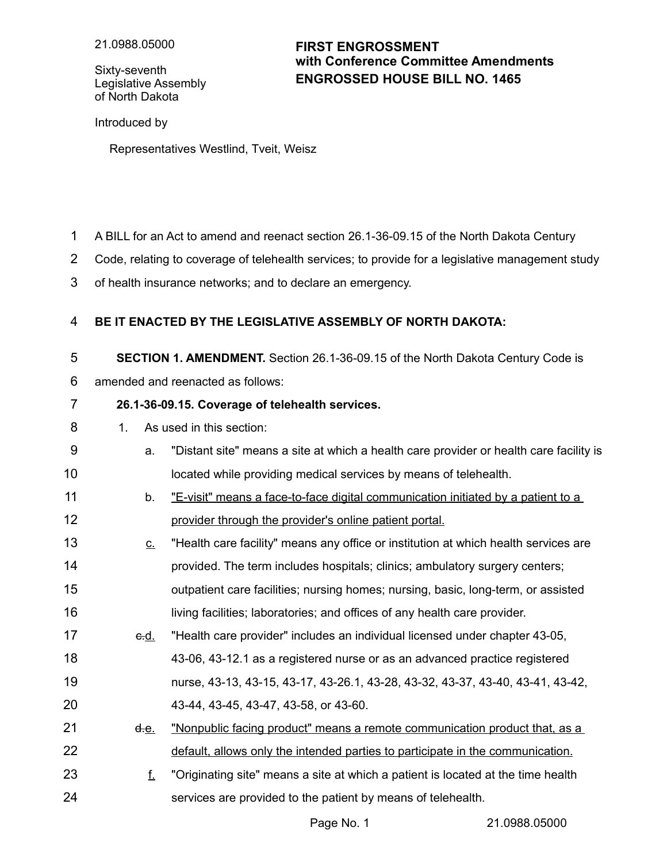Sixty-seventh Legislative Assembly of North Dakota

## **ENGROSSED HOUSE BILL NO. 1465 FIRST ENGROSSMENT with Conference Committee Amendments**

Introduced by

Representatives Westlind, Tveit, Weisz

- A BILL for an Act to amend and reenact section 26.1-36-09.15 of the North Dakota Century 1
- Code, relating to coverage of telehealth services; to provide for a legislative management study 2
- of health insurance networks; and to declare an emergency. 3

## **BE IT ENACTED BY THE LEGISLATIVE ASSEMBLY OF NORTH DAKOTA:** 4

**SECTION 1. AMENDMENT.** Section 26.1-36-09.15 of the North Dakota Century Code is 5

amended and reenacted as follows: 6

## **26.1-36-09.15. Coverage of telehealth services.** 7

- 1. As used in this section: 8
- a. "Distant site" means a site at which a health care provider or health care facility is located while providing medical services by means of telehealth. 9 10
- b. "E-visit" means a face-to-face digital communication initiated by a patient to a provider through the provider's online patient portal. 11 12
- $c$ . "Health care facility" means any office or institution at which health services are provided. The term includes hospitals; clinics; ambulatory surgery centers; outpatient care facilities; nursing homes; nursing, basic, long-term, or assisted living facilities; laboratories; and offices of any health care provider. 13 14 15 16
- c.d. "Health care provider" includes an individual licensed under chapter 43-05, 43-06, 43-12.1 as a registered nurse or as an advanced practice registered nurse, 43-13, 43-15, 43-17, 43-26.1, 43-28, 43-32, 43-37, 43-40, 43-41, 43-42, 43-44, 43-45, 43-47, 43-58, or 43-60. 17 18 19 20
- d.e. "Nonpublic facing product" means a remote communication product that, as a default, allows only the intended parties to participate in the communication. 21 22
- f. "Originating site" means a site at which a patient is located at the time health services are provided to the patient by means of telehealth. 23 24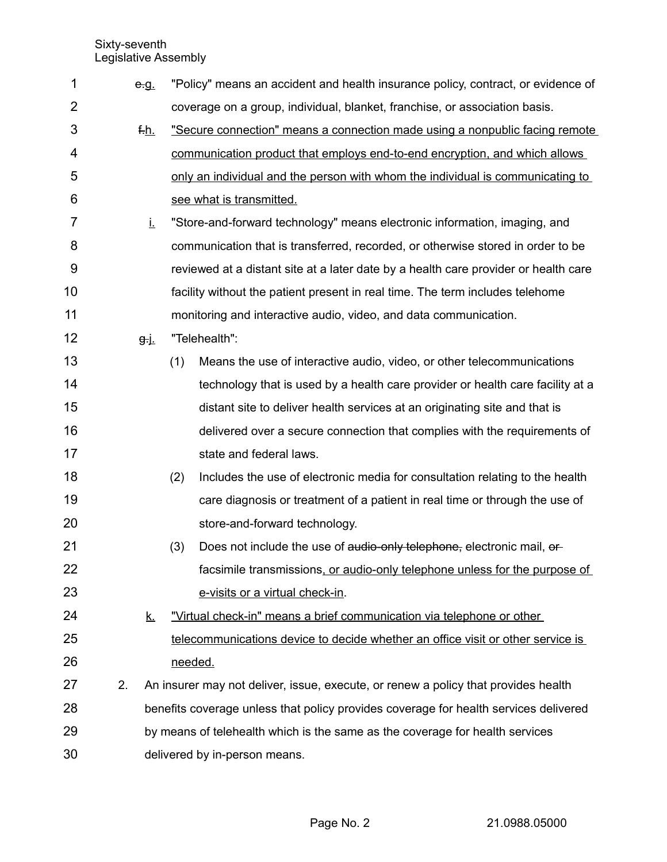Sixty-seventh Legislative Assembly

| 1  |    | e.g.                                                                                 |     | "Policy" means an accident and health insurance policy, contract, or evidence of    |
|----|----|--------------------------------------------------------------------------------------|-----|-------------------------------------------------------------------------------------|
| 2  |    |                                                                                      |     | coverage on a group, individual, blanket, franchise, or association basis.          |
| 3  |    | f.h.                                                                                 |     | "Secure connection" means a connection made using a nonpublic facing remote         |
| 4  |    |                                                                                      |     | communication product that employs end-to-end encryption, and which allows          |
| 5  |    |                                                                                      |     | only an individual and the person with whom the individual is communicating to      |
| 6  |    |                                                                                      |     | see what is transmitted.                                                            |
| 7  |    | İ.                                                                                   |     | "Store-and-forward technology" means electronic information, imaging, and           |
| 8  |    |                                                                                      |     | communication that is transferred, recorded, or otherwise stored in order to be     |
| 9  |    |                                                                                      |     | reviewed at a distant site at a later date by a health care provider or health care |
| 10 |    |                                                                                      |     | facility without the patient present in real time. The term includes telehome       |
| 11 |    |                                                                                      |     | monitoring and interactive audio, video, and data communication.                    |
| 12 |    | <del>g</del> -j_                                                                     |     | "Telehealth":                                                                       |
| 13 |    |                                                                                      | (1) | Means the use of interactive audio, video, or other telecommunications              |
| 14 |    |                                                                                      |     | technology that is used by a health care provider or health care facility at a      |
| 15 |    |                                                                                      |     | distant site to deliver health services at an originating site and that is          |
| 16 |    |                                                                                      |     | delivered over a secure connection that complies with the requirements of           |
| 17 |    |                                                                                      |     | state and federal laws.                                                             |
| 18 |    |                                                                                      | (2) | Includes the use of electronic media for consultation relating to the health        |
| 19 |    |                                                                                      |     | care diagnosis or treatment of a patient in real time or through the use of         |
| 20 |    |                                                                                      |     | store-and-forward technology.                                                       |
| 21 |    |                                                                                      | (3) | Does not include the use of audio-only telephone, electronic mail, or-              |
| 22 |    |                                                                                      |     | facsimile transmissions, or audio-only telephone unless for the purpose of          |
| 23 |    |                                                                                      |     | e-visits or a virtual check-in.                                                     |
| 24 |    | <u>k.</u>                                                                            |     | "Virtual check-in" means a brief communication via telephone or other               |
| 25 |    |                                                                                      |     | telecommunications device to decide whether an office visit or other service is     |
| 26 |    |                                                                                      |     | needed.                                                                             |
| 27 | 2. |                                                                                      |     | An insurer may not deliver, issue, execute, or renew a policy that provides health  |
| 28 |    | benefits coverage unless that policy provides coverage for health services delivered |     |                                                                                     |
| 29 |    | by means of telehealth which is the same as the coverage for health services         |     |                                                                                     |
| 30 |    |                                                                                      |     | delivered by in-person means.                                                       |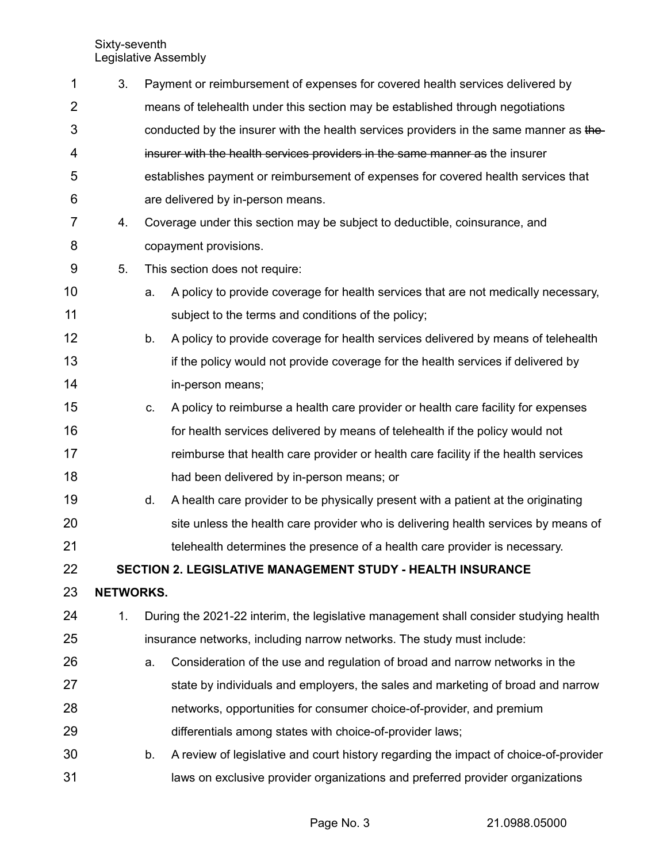Sixty-seventh Legislative Assembly

| 1              | 3.                                                         |                                                                                       | Payment or reimbursement of expenses for covered health services delivered by          |  |  |  |
|----------------|------------------------------------------------------------|---------------------------------------------------------------------------------------|----------------------------------------------------------------------------------------|--|--|--|
| $\overline{2}$ |                                                            |                                                                                       | means of telehealth under this section may be established through negotiations         |  |  |  |
| 3              |                                                            |                                                                                       | conducted by the insurer with the health services providers in the same manner as the- |  |  |  |
| 4              |                                                            |                                                                                       | insurer with the health services providers in the same manner as the insurer           |  |  |  |
| 5              |                                                            |                                                                                       | establishes payment or reimbursement of expenses for covered health services that      |  |  |  |
| 6              |                                                            |                                                                                       | are delivered by in-person means.                                                      |  |  |  |
| $\overline{7}$ | 4.                                                         |                                                                                       | Coverage under this section may be subject to deductible, coinsurance, and             |  |  |  |
| 8              |                                                            |                                                                                       | copayment provisions.                                                                  |  |  |  |
| 9              | 5.                                                         |                                                                                       | This section does not require:                                                         |  |  |  |
| 10             |                                                            | a.                                                                                    | A policy to provide coverage for health services that are not medically necessary,     |  |  |  |
| 11             |                                                            |                                                                                       | subject to the terms and conditions of the policy;                                     |  |  |  |
| 12             |                                                            | b.                                                                                    | A policy to provide coverage for health services delivered by means of telehealth      |  |  |  |
| 13             |                                                            |                                                                                       | if the policy would not provide coverage for the health services if delivered by       |  |  |  |
| 14             |                                                            |                                                                                       | in-person means;                                                                       |  |  |  |
| 15             |                                                            | C.                                                                                    | A policy to reimburse a health care provider or health care facility for expenses      |  |  |  |
| 16             |                                                            |                                                                                       | for health services delivered by means of telehealth if the policy would not           |  |  |  |
| 17             |                                                            |                                                                                       | reimburse that health care provider or health care facility if the health services     |  |  |  |
| 18             |                                                            |                                                                                       | had been delivered by in-person means; or                                              |  |  |  |
| 19             |                                                            | d.                                                                                    | A health care provider to be physically present with a patient at the originating      |  |  |  |
| 20             |                                                            |                                                                                       | site unless the health care provider who is delivering health services by means of     |  |  |  |
| 21             |                                                            |                                                                                       | telehealth determines the presence of a health care provider is necessary.             |  |  |  |
| 22             | SECTION 2. LEGISLATIVE MANAGEMENT STUDY - HEALTH INSURANCE |                                                                                       |                                                                                        |  |  |  |
| 23             | <b>NETWORKS.</b>                                           |                                                                                       |                                                                                        |  |  |  |
| 24             | 1.                                                         | During the 2021-22 interim, the legislative management shall consider studying health |                                                                                        |  |  |  |
| 25             |                                                            | insurance networks, including narrow networks. The study must include:                |                                                                                        |  |  |  |
| 26             |                                                            | a.                                                                                    | Consideration of the use and regulation of broad and narrow networks in the            |  |  |  |
| 27             |                                                            |                                                                                       | state by individuals and employers, the sales and marketing of broad and narrow        |  |  |  |
| 28             |                                                            |                                                                                       | networks, opportunities for consumer choice-of-provider, and premium                   |  |  |  |
| 29             |                                                            |                                                                                       | differentials among states with choice-of-provider laws;                               |  |  |  |
| 30             |                                                            | b.                                                                                    | A review of legislative and court history regarding the impact of choice-of-provider   |  |  |  |
| 31             |                                                            |                                                                                       | laws on exclusive provider organizations and preferred provider organizations          |  |  |  |